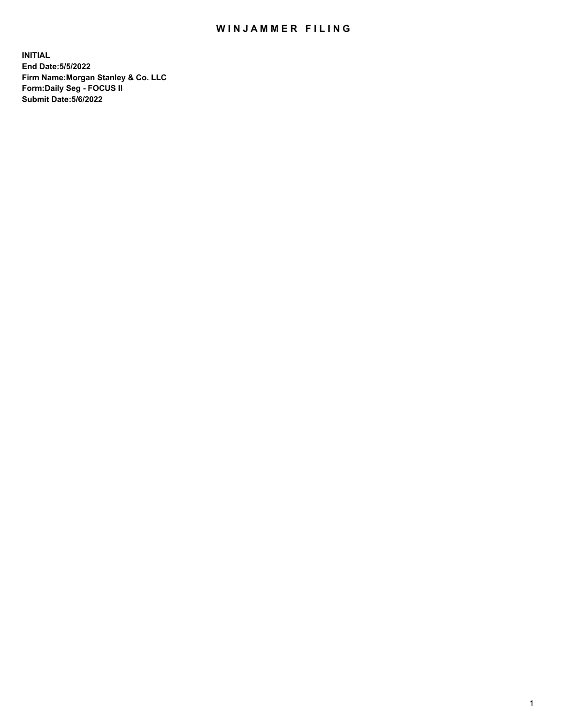## WIN JAMMER FILING

**INITIAL End Date:5/5/2022 Firm Name:Morgan Stanley & Co. LLC Form:Daily Seg - FOCUS II Submit Date:5/6/2022**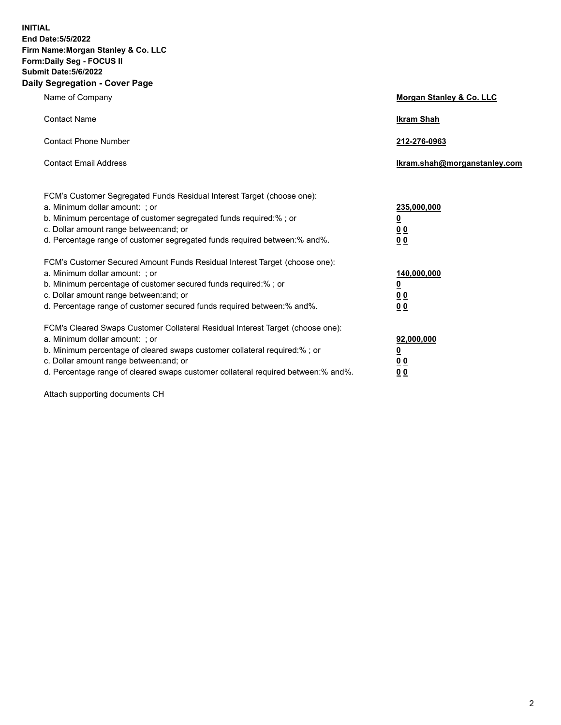**INITIAL End Date:5/5/2022 Firm Name:Morgan Stanley & Co. LLC Form:Daily Seg - FOCUS II Submit Date:5/6/2022 Daily Segregation - Cover Page**

| Name of Company                                                                                                                                                                                                                                                                                                                | <b>Morgan Stanley &amp; Co. LLC</b>                    |
|--------------------------------------------------------------------------------------------------------------------------------------------------------------------------------------------------------------------------------------------------------------------------------------------------------------------------------|--------------------------------------------------------|
| <b>Contact Name</b>                                                                                                                                                                                                                                                                                                            | <b>Ikram Shah</b>                                      |
| <b>Contact Phone Number</b>                                                                                                                                                                                                                                                                                                    | 212-276-0963                                           |
| <b>Contact Email Address</b>                                                                                                                                                                                                                                                                                                   | Ikram.shah@morganstanley.com                           |
| FCM's Customer Segregated Funds Residual Interest Target (choose one):<br>a. Minimum dollar amount: : or<br>b. Minimum percentage of customer segregated funds required:%; or<br>c. Dollar amount range between: and; or<br>d. Percentage range of customer segregated funds required between:% and%.                          | 235,000,000<br><u>0</u><br><u>00</u><br><u>00</u>      |
| FCM's Customer Secured Amount Funds Residual Interest Target (choose one):<br>a. Minimum dollar amount: ; or<br>b. Minimum percentage of customer secured funds required:%; or<br>c. Dollar amount range between: and; or<br>d. Percentage range of customer secured funds required between:% and%.                            | 140,000,000<br><u>0</u><br><u>00</u><br>0 <sub>0</sub> |
| FCM's Cleared Swaps Customer Collateral Residual Interest Target (choose one):<br>a. Minimum dollar amount: ; or<br>b. Minimum percentage of cleared swaps customer collateral required:% ; or<br>c. Dollar amount range between: and; or<br>d. Percentage range of cleared swaps customer collateral required between:% and%. | 92,000,000<br><u>0</u><br><u>00</u><br>00              |

Attach supporting documents CH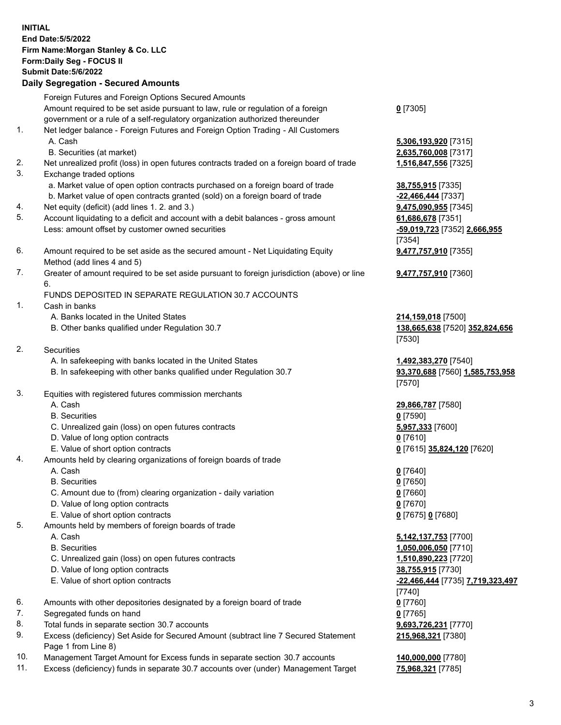|          | <b>INITIAL</b><br>End Date: 5/5/2022<br>Firm Name: Morgan Stanley & Co. LLC<br>Form: Daily Seg - FOCUS II<br><b>Submit Date: 5/6/2022</b><br><b>Daily Segregation - Secured Amounts</b> |                                                         |
|----------|-----------------------------------------------------------------------------------------------------------------------------------------------------------------------------------------|---------------------------------------------------------|
|          | Foreign Futures and Foreign Options Secured Amounts                                                                                                                                     |                                                         |
|          | Amount required to be set aside pursuant to law, rule or regulation of a foreign<br>government or a rule of a self-regulatory organization authorized thereunder                        | $0$ [7305]                                              |
| 1.       | Net ledger balance - Foreign Futures and Foreign Option Trading - All Customers                                                                                                         |                                                         |
|          | A. Cash                                                                                                                                                                                 | 5,306,193,920 [7315]                                    |
|          | B. Securities (at market)                                                                                                                                                               | 2,635,760,008 [7317]                                    |
| 2.<br>3. | Net unrealized profit (loss) in open futures contracts traded on a foreign board of trade<br>Exchange traded options                                                                    | 1,516,847,556 [7325]                                    |
|          | a. Market value of open option contracts purchased on a foreign board of trade                                                                                                          | 38,755,915 [7335]                                       |
|          | b. Market value of open contracts granted (sold) on a foreign board of trade                                                                                                            | -22,466,444 [7337]                                      |
| 4.       | Net equity (deficit) (add lines 1. 2. and 3.)                                                                                                                                           | 9,475,090,955 [7345]                                    |
| 5.       | Account liquidating to a deficit and account with a debit balances - gross amount                                                                                                       | 61,686,678 [7351]                                       |
|          | Less: amount offset by customer owned securities                                                                                                                                        | -59,019,723 [7352] 2,666,955<br>[7354]                  |
| 6.       | Amount required to be set aside as the secured amount - Net Liquidating Equity                                                                                                          | 9,477,757,910 [7355]                                    |
|          | Method (add lines 4 and 5)                                                                                                                                                              |                                                         |
| 7.       | Greater of amount required to be set aside pursuant to foreign jurisdiction (above) or line                                                                                             | <b>9,477,757,910</b> [7360]                             |
|          | 6.<br>FUNDS DEPOSITED IN SEPARATE REGULATION 30.7 ACCOUNTS                                                                                                                              |                                                         |
| 1.       | Cash in banks                                                                                                                                                                           |                                                         |
|          | A. Banks located in the United States                                                                                                                                                   | 214,159,018 [7500]                                      |
|          | B. Other banks qualified under Regulation 30.7                                                                                                                                          | 138,665,638 [7520] 352,824,656                          |
|          |                                                                                                                                                                                         | [7530]                                                  |
| 2.       | <b>Securities</b>                                                                                                                                                                       |                                                         |
|          | A. In safekeeping with banks located in the United States<br>B. In safekeeping with other banks qualified under Regulation 30.7                                                         | 1,492,383,270 [7540]<br>93,370,688 [7560] 1,585,753,958 |
|          |                                                                                                                                                                                         | [7570]                                                  |
| 3.       | Equities with registered futures commission merchants                                                                                                                                   |                                                         |
|          | A. Cash                                                                                                                                                                                 | 29,866,787 [7580]                                       |
|          | <b>B.</b> Securities                                                                                                                                                                    | $0$ [7590]                                              |
|          | C. Unrealized gain (loss) on open futures contracts                                                                                                                                     | 5,957,333 [7600]                                        |
|          | D. Value of long option contracts<br>E. Value of short option contracts                                                                                                                 | $0$ [7610]<br>0 [7615] 35,824,120 [7620]                |
| 4.       | Amounts held by clearing organizations of foreign boards of trade                                                                                                                       |                                                         |
|          | A. Cash                                                                                                                                                                                 | $0$ [7640]                                              |
|          | <b>B.</b> Securities                                                                                                                                                                    | $0$ [7650]                                              |
|          | C. Amount due to (from) clearing organization - daily variation                                                                                                                         | $0$ [7660]                                              |
|          | D. Value of long option contracts                                                                                                                                                       | $0$ [7670]                                              |
| 5.       | E. Value of short option contracts<br>Amounts held by members of foreign boards of trade                                                                                                | 0 [7675] 0 [7680]                                       |
|          | A. Cash                                                                                                                                                                                 | 5,142,137,753 [7700]                                    |
|          | <b>B.</b> Securities                                                                                                                                                                    | 1,050,006,050 [7710]                                    |
|          | C. Unrealized gain (loss) on open futures contracts                                                                                                                                     | 1,510,890,223 [7720]                                    |
|          | D. Value of long option contracts                                                                                                                                                       | 38,755,915 [7730]                                       |
|          | E. Value of short option contracts                                                                                                                                                      | -22,466,444 [7735] 7,719,323,497                        |
| 6.       | Amounts with other depositories designated by a foreign board of trade                                                                                                                  | $[7740]$<br>$0$ [7760]                                  |
| 7.       | Segregated funds on hand                                                                                                                                                                | $0$ [7765]                                              |
| 8.       | Total funds in separate section 30.7 accounts                                                                                                                                           | 9,693,726,231 [7770]                                    |

- 9. Excess (deficiency) Set Aside for Secured Amount (subtract line 7 Secured Statement Page 1 from Line 8)
- 10. Management Target Amount for Excess funds in separate section 30.7 accounts **140,000,000** [7780]
- 11. Excess (deficiency) funds in separate 30.7 accounts over (under) Management Target **75,968,321** [7785]

**215,968,321** [7380]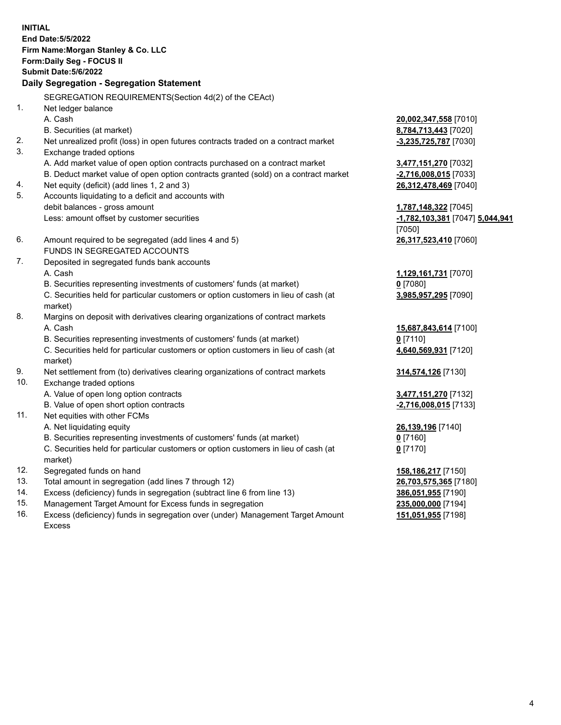**INITIAL End Date:5/5/2022 Firm Name:Morgan Stanley & Co. LLC Form:Daily Seg - FOCUS II Submit Date:5/6/2022 Daily Segregation - Segregation Statement** SEGREGATION REQUIREMENTS(Section 4d(2) of the CEAct) 1. Net ledger balance A. Cash **20,002,347,558** [7010] B. Securities (at market) **8,784,713,443** [7020] 2. Net unrealized profit (loss) in open futures contracts traded on a contract market **-3,235,725,787** [7030] 3. Exchange traded options A. Add market value of open option contracts purchased on a contract market **3,477,151,270** [7032] B. Deduct market value of open option contracts granted (sold) on a contract market **-2,716,008,015** [7033] 4. Net equity (deficit) (add lines 1, 2 and 3) **26,312,478,469** [7040] 5. Accounts liquidating to a deficit and accounts with debit balances - gross amount **1,787,148,322** [7045] Less: amount offset by customer securities **-1,782,103,381** [7047] **5,044,941** [7050] 6. Amount required to be segregated (add lines 4 and 5) **26,317,523,410** [7060] FUNDS IN SEGREGATED ACCOUNTS 7. Deposited in segregated funds bank accounts A. Cash **1,129,161,731** [7070] B. Securities representing investments of customers' funds (at market) **0** [7080] C. Securities held for particular customers or option customers in lieu of cash (at market) **3,985,957,295** [7090] 8. Margins on deposit with derivatives clearing organizations of contract markets A. Cash **15,687,843,614** [7100] B. Securities representing investments of customers' funds (at market) **0** [7110] C. Securities held for particular customers or option customers in lieu of cash (at market) **4,640,569,931** [7120] 9. Net settlement from (to) derivatives clearing organizations of contract markets **314,574,126** [7130] 10. Exchange traded options A. Value of open long option contracts **3,477,151,270** [7132] B. Value of open short option contracts **-2,716,008,015** [7133] 11. Net equities with other FCMs A. Net liquidating equity **26,139,196** [7140] B. Securities representing investments of customers' funds (at market) **0** [7160] C. Securities held for particular customers or option customers in lieu of cash (at market) **0** [7170] 12. Segregated funds on hand **158,186,217** [7150] 13. Total amount in segregation (add lines 7 through 12) **26,703,575,365** [7180] 14. Excess (deficiency) funds in segregation (subtract line 6 from line 13) **386,051,955** [7190] 15. Management Target Amount for Excess funds in segregation **235,000,000** [7194]

16. Excess (deficiency) funds in segregation over (under) Management Target Amount Excess

**151,051,955** [7198]